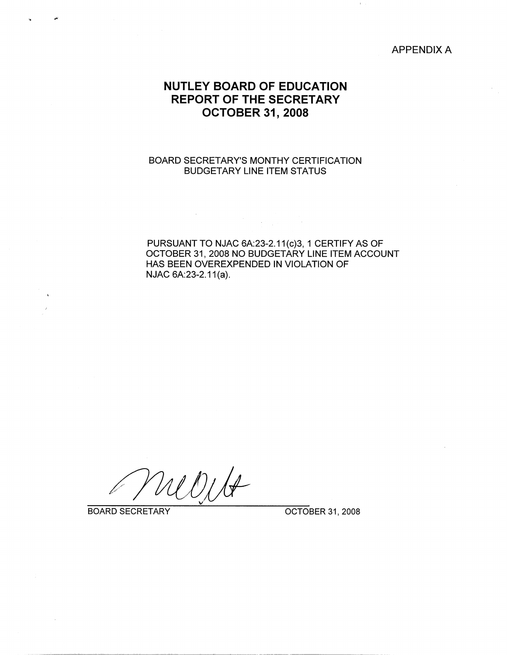APPENDIX A

# **NUTLEY BOARD OF EDUCATION REPORT OF THE SECRETARY OCTOBER 31, 2008**

### BOARD SECRETARY'S MONTHY CERTIFICATION BUDGETARY LINE ITEM STATUS

 $\bar{\gamma}$ 

PURSUANT TO NJAC 6A:23-2.11(c)3, 1 CERTIFY AS OF OCTOBER 31, 2008 NO BUDGETARY LINE ITEM ACCOUNT HAS BEEN OVEREXPENDED IN VIOLATION OF NJAC 6A:23-2.11(a).

Witt

BOARD SECRETARY **OCTOBER 31, 2008**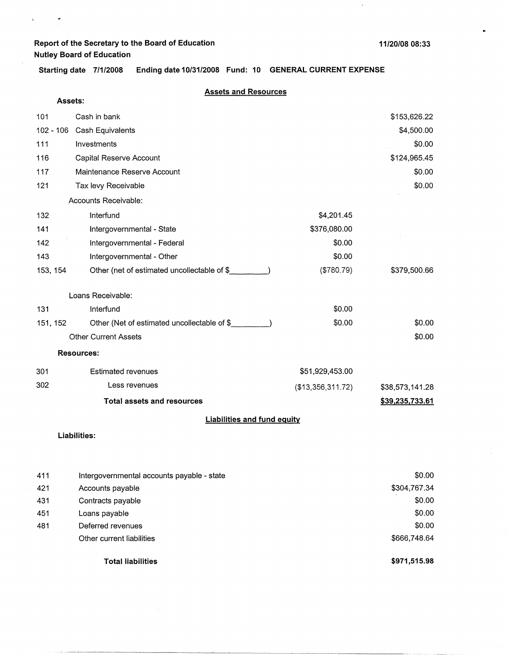$\bar{\zeta}$ 

 $\vec{\bullet}$ 

 $\bullet$ 

 $\bar{\Gamma}$ 

**Starting date 7/1/2008 Ending date 10/31/2008 Fund: 10 GENERAL CURRENT EXPENSE** 

#### **Assets and Resources**

| <b>Assets:</b> |                                             |                   |                 |
|----------------|---------------------------------------------|-------------------|-----------------|
| 101            | Cash in bank                                |                   | \$153,626.22    |
| 102 - 106      | Cash Equivalents                            |                   | \$4,500.00      |
| 111            | Investments                                 |                   | \$0.00          |
| 116            | Capital Reserve Account                     |                   | \$124,965.45    |
| 117            | Maintenance Reserve Account                 |                   | \$0.00          |
| 121            | Tax levy Receivable                         |                   | \$0.00          |
|                | Accounts Receivable:                        |                   |                 |
| 132            | Interfund                                   | \$4,201.45        |                 |
| 141            | Intergovernmental - State                   | \$376,080.00      |                 |
| 142            | Intergovernmental - Federal                 | \$0.00            |                 |
| 143            | Intergovernmental - Other                   | \$0.00            |                 |
| 153, 154       | Other (net of estimated uncollectable of \$ | (\$780.79)        | \$379,500.66    |
|                | Loans Receivable:                           |                   |                 |
| 131            | Interfund                                   | \$0.00            |                 |
| 151, 152       | Other (Net of estimated uncollectable of \$ | \$0.00            | \$0.00          |
|                | <b>Other Current Assets</b>                 |                   | \$0.00          |
|                | <b>Resources:</b>                           |                   |                 |
| 301            | <b>Estimated revenues</b>                   | \$51,929,453.00   |                 |
| 302            | Less revenues                               | (\$13,356,311.72) | \$38,573,141.28 |
|                | <b>Total assets and resources</b>           |                   | \$39,235,733.61 |
|                | <b>Liabilities and fund equity</b>          |                   |                 |
|                | Liabilities:                                |                   |                 |
| 411            | Intergovernmental accounts payable - state  |                   | \$0.00          |
| 421            | Accounts payable                            |                   | \$304,767.34    |
| 431            | Contracts payable                           |                   | \$0.00          |

451 Loans payable 481 Deferred revenues Other current liabilities

**Total liabilities** 

**\$971,515.98** 

-\$666,748.64

\$0.00 \$0.00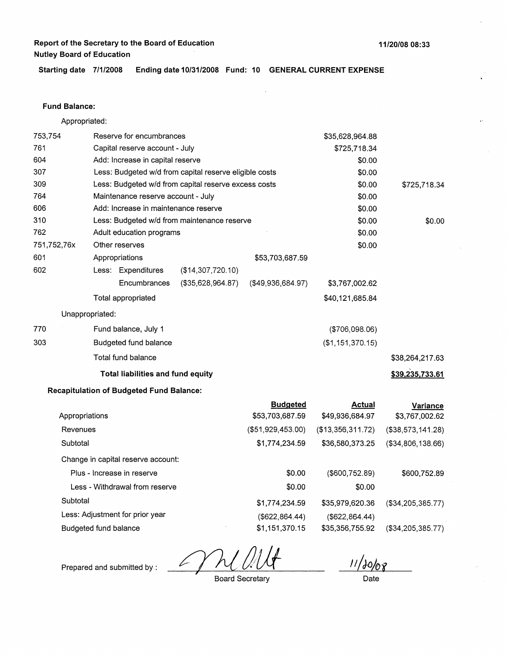**11/20/08 08:33** 

**Starting date 7/1/2008 Ending date 10/31/2008 Fund: 10 GENERAL CURRENT EXPENSE** 

#### **Fund Balance:**

Appropriated:

| 753,754     |                 | Reserve for encumbrances                               |                                                      |                   | \$35,628,964.88   |                   |
|-------------|-----------------|--------------------------------------------------------|------------------------------------------------------|-------------------|-------------------|-------------------|
| 761         |                 | Capital reserve account - July                         |                                                      |                   | \$725,718.34      |                   |
| 604         |                 | Add: Increase in capital reserve                       |                                                      |                   | \$0.00            |                   |
| 307         |                 | Less: Budgeted w/d from capital reserve eligible costs |                                                      |                   | \$0.00            |                   |
| 309         |                 |                                                        | Less: Budgeted w/d from capital reserve excess costs |                   | \$0.00            | \$725,718.34      |
| 764         |                 | Maintenance reserve account - July                     |                                                      |                   | \$0.00            |                   |
| 606         |                 | Add: Increase in maintenance reserve                   |                                                      |                   | \$0.00            |                   |
| 310         |                 |                                                        | Less: Budgeted w/d from maintenance reserve          |                   | \$0.00            | \$0.00            |
| 762         |                 | Adult education programs                               |                                                      |                   | \$0.00            |                   |
| 751,752,76x |                 | Other reserves                                         |                                                      |                   | \$0.00            |                   |
| 601         |                 | Appropriations                                         |                                                      | \$53,703,687.59   |                   |                   |
| 602         |                 | Less: Expenditures                                     | (\$14,307,720.10)                                    |                   |                   |                   |
|             |                 | Encumbrances                                           | (\$35,628,964.87)                                    | (\$49,936,684.97) | \$3,767,002.62    |                   |
|             |                 | Total appropriated                                     |                                                      |                   | \$40,121,685.84   |                   |
|             | Unappropriated: |                                                        |                                                      |                   |                   |                   |
| 770         |                 | Fund balance, July 1                                   |                                                      |                   | (\$706,098.06)    |                   |
| 303         |                 | Budgeted fund balance                                  |                                                      |                   | (\$1,151,370.15)  |                   |
|             |                 | Total fund balance                                     |                                                      |                   |                   | \$38,264,217.63   |
|             |                 | Total liabilities and fund equity                      |                                                      |                   |                   | \$39,235,733.61   |
|             |                 | <b>Recapitulation of Budgeted Fund Balance:</b>        |                                                      |                   |                   |                   |
|             |                 |                                                        |                                                      | <b>Budgeted</b>   | <b>Actual</b>     | <b>Variance</b>   |
|             | Appropriations  |                                                        |                                                      | \$53,703,687.59   | \$49,936,684.97   | \$3,767,002.62    |
| Revenues    |                 |                                                        |                                                      | (\$51,929,453.00) | (\$13,356,311.72) | (\$38,573,141.28) |
| Subtotal    |                 |                                                        |                                                      | \$1,774,234.59    | \$36,580,373.25   | (\$34,806,138.66) |
|             |                 | Change in capital reserve account:                     |                                                      |                   |                   |                   |
|             |                 | Plus - Increase in reserve                             |                                                      | \$0.00            | (\$600,752.89)    | \$600,752.89      |

Less - Withdrawal from reserve **Subtotal** Less: Adjustment for prior year Budgeted fund balance \$0.00 \$1,774,234.59 (\$622,864.44) \$1,151,370.15 \$0.00 \$35,979,620.36 (\$34,205,385.77) (\$622,864.44) \$35,356,755.92 (\$34,205,385.77)

 $\mu$ 

Prepared and submitted by :

Board Secretary

Date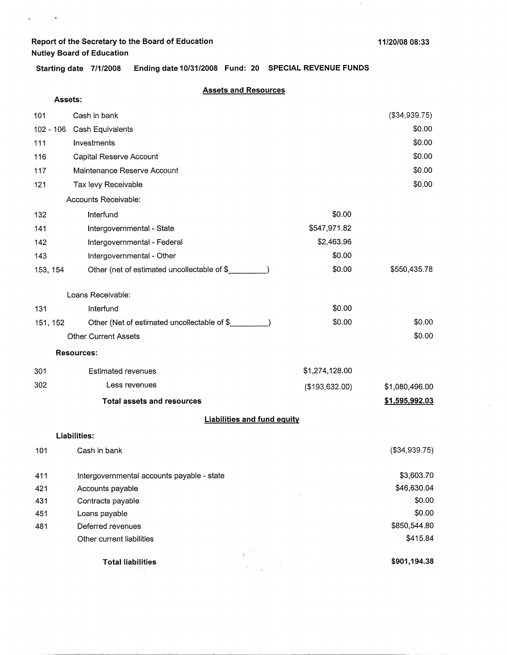$\sim$   $\star$ 

 $\mathbf{v}^{\top}$ 

 $\mathbf{1}$ 

**Starting date 7/1/2008 Ending date 10/31/2008 Fund: 20 SPECIAL REVENUE FUNDS** 

#### **Assets and Resources**

|          | Assets: |                                             |                                    |                |                |
|----------|---------|---------------------------------------------|------------------------------------|----------------|----------------|
| 101      |         | Cash in bank                                |                                    |                | (\$34,939.75)  |
|          |         | 102 - 106 Cash Equivalents                  |                                    |                | \$0.00         |
| 111      |         | Investments                                 |                                    |                | \$0.00         |
| 116      |         | Capital Reserve Account                     |                                    |                | \$0.00         |
| 117      |         | Maintenance Reserve Account                 |                                    |                | \$0.00         |
| 121      |         | Tax levy Receivable                         |                                    |                | \$0.00         |
|          |         | Accounts Receivable:                        |                                    |                |                |
| 132      |         | Interfund                                   |                                    | \$0.00         |                |
| 141      |         | Intergovernmental - State                   |                                    | \$547,971.82   |                |
| 142      |         | Intergovernmental - Federal                 |                                    | \$2,463.96     |                |
| 143      |         | Intergovernmental - Other                   |                                    | \$0.00         |                |
| 153, 154 |         | Other (net of estimated uncollectable of \$ |                                    | \$0.00         | \$550,435.78   |
|          |         | Loans Receivable:                           |                                    |                |                |
| 131      |         | Interfund                                   |                                    | \$0.00         |                |
| 151, 152 |         | Other (Net of estimated uncollectable of \$ |                                    | \$0.00         | \$0.00         |
|          |         | <b>Other Current Assets</b>                 |                                    |                | \$0.00         |
|          |         | <b>Resources:</b>                           |                                    |                |                |
| 301      |         | <b>Estimated revenues</b>                   |                                    | \$1,274,128.00 |                |
| 302      |         | Less revenues                               |                                    | (\$193,632.00) | \$1,080,496.00 |
|          |         | <b>Total assets and resources</b>           |                                    |                | \$1,595,992.03 |
|          |         |                                             | <b>Liabilities and fund equity</b> |                |                |
|          |         | <b>Liabilities:</b>                         |                                    |                |                |
| 101      |         | Cash in bank                                |                                    |                | (\$34,939.75)  |
| 411      |         | Intergovernmental accounts payable - state  |                                    |                | \$3,603.70     |
| 421      |         | Accounts payable                            |                                    |                | \$46,630.04    |
| 431      |         | Contracts payable                           |                                    |                | \$0.00         |
| 451      |         | Loans payable                               |                                    |                | \$0.00         |
| 481      |         | Deferred revenues                           |                                    |                | \$850,544.80   |
|          |         | Other current liabilities                   |                                    |                | \$415.84       |
|          |         | <b>Total liabilities</b>                    |                                    |                | \$901,194.38   |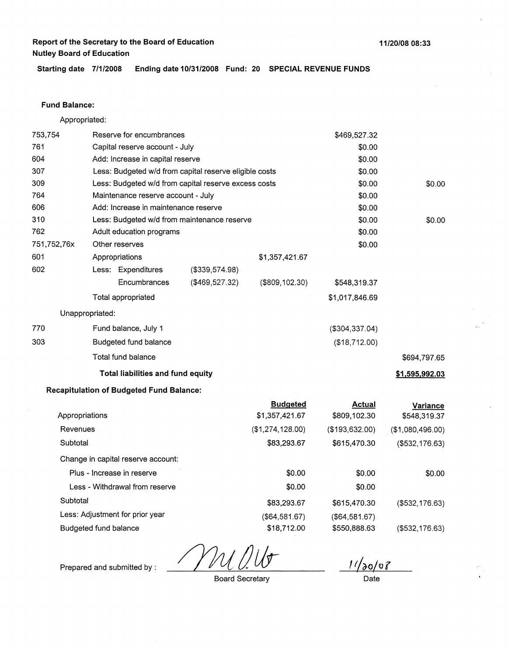**11/20/08 08:33** 

**Starting date 7/1/2008 Ending date 10/31/2008 Fund: 20 SPECIAL REVENUE FUNDS** 

### **Fund Balance:**

Appropriated:

| 753,754        | Reserve for encumbrances     |                                                        |                | \$469,527.32     |                  |                  |
|----------------|------------------------------|--------------------------------------------------------|----------------|------------------|------------------|------------------|
| 761            |                              | Capital reserve account - July                         |                |                  | \$0.00           |                  |
| 604            |                              | Add: Increase in capital reserve                       |                |                  | \$0.00           |                  |
| 307            |                              | Less: Budgeted w/d from capital reserve eligible costs |                |                  | \$0.00           |                  |
| 309            |                              | Less: Budgeted w/d from capital reserve excess costs   |                |                  | \$0.00           | \$0.00           |
| 764            |                              | Maintenance reserve account - July                     |                |                  | \$0.00           |                  |
| 606            |                              | Add: Increase in maintenance reserve                   |                |                  | \$0.00           |                  |
| 310            |                              | Less: Budgeted w/d from maintenance reserve            |                |                  | \$0.00           | \$0.00           |
| 762            |                              | Adult education programs                               |                |                  | \$0.00           |                  |
| 751,752,76x    |                              | Other reserves                                         |                |                  | \$0.00           |                  |
| 601            |                              | Appropriations                                         |                | \$1,357,421.67   |                  |                  |
| 602            |                              | Less: Expenditures                                     | (\$339,574.98) |                  |                  |                  |
|                |                              | Encumbrances                                           | (\$469,527.32) | (\$809, 102.30)  | \$548,319.37     |                  |
|                |                              | Total appropriated                                     |                |                  | \$1,017,846.69   |                  |
|                | Unappropriated:              |                                                        |                |                  |                  |                  |
| 770            |                              | Fund balance, July 1                                   |                |                  | ( \$304, 337.04) |                  |
| 303            |                              | Budgeted fund balance                                  |                |                  | (\$18,712.00)    |                  |
|                |                              | Total fund balance                                     |                |                  |                  | \$694,797.65     |
|                |                              | Total liabilities and fund equity                      |                |                  |                  | \$1,595,992.03   |
|                |                              | <b>Recapitulation of Budgeted Fund Balance:</b>        |                |                  |                  |                  |
|                |                              |                                                        |                | <b>Budgeted</b>  | <b>Actual</b>    | Variance         |
| Appropriations |                              |                                                        |                | \$1,357,421.67   | \$809,102.30     | \$548,319.37     |
| Revenues       |                              |                                                        |                | (\$1,274,128.00) | (\$193,632.00)   | (\$1,080,496.00) |
| Subtotal       |                              |                                                        |                | \$83,293.67      | \$615,470.30     | (\$532, 176.63)  |
|                |                              | Change in capital reserve account:                     |                |                  |                  |                  |
|                |                              | Plus - Increase in reserve                             |                | \$0.00           | \$0.00           | \$0.00           |
|                |                              | Less - Withdrawal from reserve                         |                | \$0.00           | \$0.00           |                  |
| Subtotal       |                              |                                                        |                | \$83,293.67      | \$615,470.30     | (\$532, 176.63)  |
|                |                              | Less: Adjustment for prior year                        |                | (\$64,581.67)    | ( \$64,581.67)   |                  |
|                | <b>Budgeted fund balance</b> |                                                        |                | \$18,712.00      | \$550,888.63     | (\$532,176.63)   |

 $11/20/08$ 

Prepared and submitted by :

Board Secretary

Date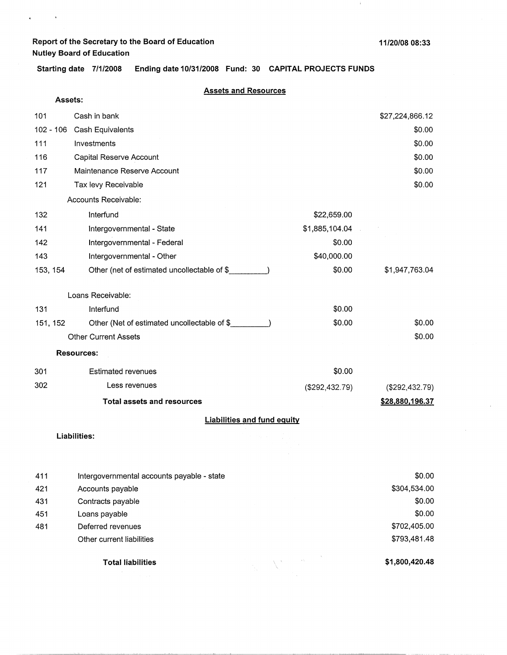**Assets:** 

 $\epsilon$ 

 $\mathcal{L}^{\text{max}}_{\text{max}}$ 

 $\pm$ 

**Starting date 7/1/2008 Ending date 10/31/2008 Fund: 30 CAPITAL PROJECTS FUNDS** 

#### **Assets and Resources**

| 101         | Cash in bank                                |                | \$27,224,866.12 |
|-------------|---------------------------------------------|----------------|-----------------|
| $102 - 106$ | Cash Equivalents                            |                | \$0.00          |
| 111         | Investments                                 |                | \$0.00          |
| 116         | Capital Reserve Account                     |                | \$0.00          |
| 117         | Maintenance Reserve Account                 |                | \$0.00          |
| 121         | Tax levy Receivable                         |                | \$0.00          |
|             | Accounts Receivable:                        |                |                 |
| 132         | Interfund                                   | \$22,659.00    |                 |
| 141         | Intergovernmental - State                   | \$1,885,104.04 |                 |
| 142         | Intergovernmental - Federal                 | \$0.00         |                 |
| 143         | Intergovernmental - Other                   | \$40,000.00    |                 |
| 153, 154    | Other (net of estimated uncollectable of \$ | \$0.00         | \$1,947,763.04  |
|             | Loans Receivable:                           |                |                 |
| 131         | Interfund                                   | \$0.00         |                 |
| 151, 152    | Other (Net of estimated uncollectable of \$ | \$0.00         | \$0.00          |
|             | <b>Other Current Assets</b>                 |                | \$0.00          |
|             | <b>Resources:</b>                           |                |                 |
| 301         | <b>Estimated revenues</b>                   | \$0.00         |                 |
| 302         | Less revenues                               | (\$292,432.79) | (\$292,432.79)  |
|             | <b>Total assets and resources</b>           |                | \$28,880,196.37 |
|             | <b>Liabilities and fund equity</b>          |                |                 |

#### **Liabilities:**

| 411 | Intergovernmental accounts payable - state |  |                      | \$0.00         |
|-----|--------------------------------------------|--|----------------------|----------------|
| 421 | Accounts payable                           |  |                      | \$304,534.00   |
| 431 | Contracts payable                          |  |                      | \$0.00         |
| 451 | Loans payable                              |  |                      | \$0.00         |
| 481 | Deferred revenues                          |  |                      | \$702,405.00   |
|     | Other current liabilities                  |  |                      | \$793,481.48   |
|     | <b>Total liabilities</b>                   |  | $\lambda_{\rm{max}}$ | \$1,800,420.48 |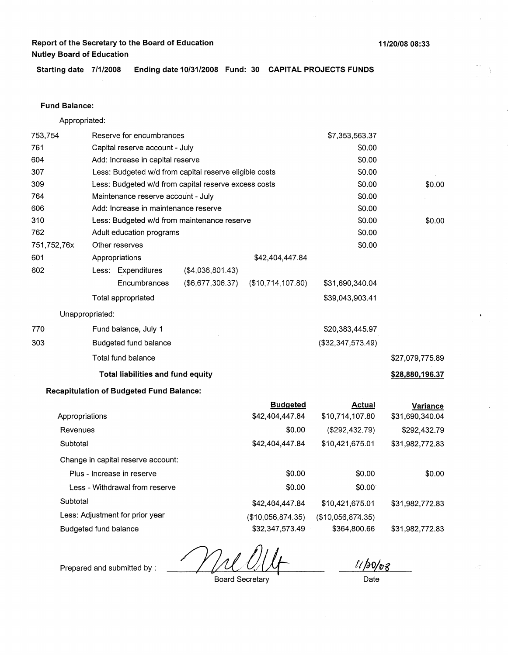**11/20/08 08:33** 

**Starting date 7/1/2008 Ending date 10/31/2008 Fund: 30 CAPITAL PROJECTS FUNDS** 

### **Fund Balance:**

Appropriated:

| 753,754                        | Reserve for encumbrances |                                                      |                                                        | \$7,353,563.37    |                   |                 |
|--------------------------------|--------------------------|------------------------------------------------------|--------------------------------------------------------|-------------------|-------------------|-----------------|
| 761                            |                          | Capital reserve account - July                       |                                                        |                   | \$0.00            |                 |
| 604                            |                          | Add: Increase in capital reserve                     |                                                        | \$0.00            |                   |                 |
| 307                            |                          |                                                      | Less: Budgeted w/d from capital reserve eligible costs | \$0.00            |                   |                 |
| 309                            |                          | Less: Budgeted w/d from capital reserve excess costs |                                                        |                   | \$0.00            | \$0.00          |
| 764                            |                          | Maintenance reserve account - July                   |                                                        |                   | \$0.00            |                 |
| 606                            |                          | Add: Increase in maintenance reserve                 |                                                        |                   | \$0.00            |                 |
| 310                            |                          |                                                      | Less: Budgeted w/d from maintenance reserve            |                   | \$0.00            | \$0.00          |
| 762                            |                          | Adult education programs                             |                                                        |                   | \$0.00            |                 |
| 751,752,76x                    |                          | Other reserves                                       |                                                        |                   | \$0.00            |                 |
| 601                            |                          | Appropriations                                       |                                                        | \$42,404,447.84   |                   |                 |
| 602                            |                          | Less: Expenditures                                   | ( \$4,036,801.43)                                      |                   |                   |                 |
|                                |                          | Encumbrances                                         | (\$6,677,306.37)                                       | (\$10,714,107.80) | \$31,690,340.04   |                 |
|                                |                          | Total appropriated                                   |                                                        |                   | \$39,043,903.41   |                 |
|                                | Unappropriated:          |                                                      |                                                        |                   |                   |                 |
| 770                            |                          | Fund balance, July 1                                 |                                                        |                   | \$20,383,445.97   |                 |
| 303                            |                          | Budgeted fund balance                                |                                                        |                   | (\$32,347,573.49) |                 |
|                                |                          | Total fund balance                                   |                                                        |                   |                   | \$27,079,775.89 |
|                                |                          | <b>Total liabilities and fund equity</b>             |                                                        |                   |                   | \$28,880,196.37 |
|                                |                          | <b>Recapitulation of Budgeted Fund Balance:</b>      |                                                        |                   |                   |                 |
|                                |                          |                                                      |                                                        | <b>Budgeted</b>   | <b>Actual</b>     | Variance        |
|                                | Appropriations           |                                                      |                                                        | \$42,404,447.84   | \$10,714,107.80   | \$31,690,340.04 |
| Revenues                       |                          |                                                      |                                                        | \$0.00            | (\$292,432.79)    | \$292,432.79    |
| Subtotal                       |                          |                                                      |                                                        | \$42,404,447.84   | \$10,421,675.01   | \$31,982,772.83 |
|                                |                          | Change in capital reserve account:                   |                                                        |                   |                   |                 |
|                                |                          | Plus - Increase in reserve                           |                                                        | \$0.00            | \$0.00            | \$0.00          |
| Less - Withdrawal from reserve |                          |                                                      |                                                        | \$0.00            | \$0.00            |                 |
|                                |                          |                                                      |                                                        |                   |                   |                 |

Subtotal \$42,404,447.84 Less: Adjustment for prior year (\$10,056,874.35) Budgeted fund balance \$32,347,573.49 \$10,421,675.01 (\$10,056,8T4.35) \$364,800.66

 $11/50/68$ 

\$31,982,772.83

\$31,982,772.83

Prepared and submitted by :

Board Secretary

Date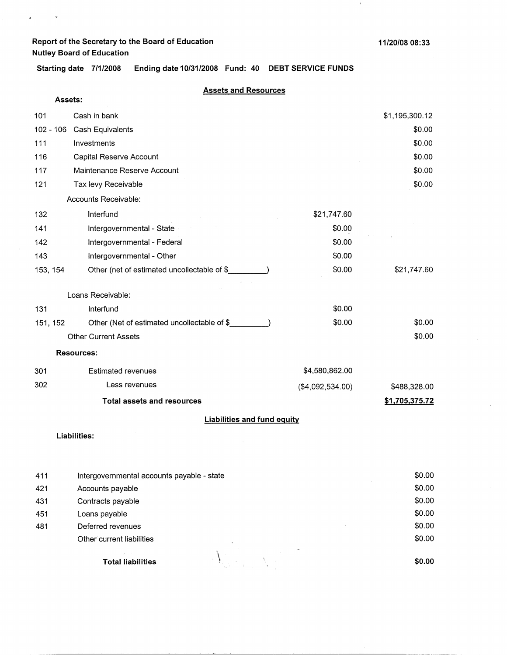$\epsilon$ 

 $\bar{\star}$ 

 $\mathbf{r}$ 

**Starting date 7/1/2008 Ending date 10/31/2008 Fund: 40 DEBT SERVICE FUNDS** 

#### **Assets and Resources**

| Assets:     |                                             |                  |                |
|-------------|---------------------------------------------|------------------|----------------|
| 101         | Cash in bank                                |                  | \$1,195,300.12 |
| $102 - 106$ | Cash Equivalents                            |                  | \$0.00         |
| 111         | Investments                                 |                  | \$0.00         |
| 116         | Capital Reserve Account                     |                  | \$0.00         |
| 117         | Maintenance Reserve Account                 |                  | \$0.00         |
| 121         | Tax levy Receivable                         |                  | \$0.00         |
|             | Accounts Receivable:                        |                  |                |
| 132         | Interfund                                   | \$21,747.60      |                |
| 141         | Intergovernmental - State                   | \$0.00           |                |
| 142         | Intergovernmental - Federal                 | \$0.00           |                |
| 143         | Intergovernmental - Other                   | \$0.00           |                |
| 153, 154    | Other (net of estimated uncollectable of \$ | \$0.00           | \$21,747.60    |
|             | Loans Receivable:                           |                  |                |
| 131         | Interfund                                   | \$0.00           |                |
| 151, 152    | Other (Net of estimated uncollectable of \$ | \$0.00           | \$0.00         |
|             | <b>Other Current Assets</b>                 |                  | \$0.00         |
|             | <b>Resources:</b>                           |                  |                |
| 301         | <b>Estimated revenues</b>                   | \$4,580,862.00   |                |
| 302         | Less revenues                               | (\$4,092,534.00) | \$488,328.00   |
|             | <b>Total assets and resources</b>           |                  | \$1,705,375.72 |
|             | <b>Liabilities and fund equity</b>          |                  |                |
|             | Liabilities:                                |                  |                |
| 411         | Intergovernmental accounts payable - state  |                  | \$0.00         |
| 421         | Accounts payable                            |                  | \$0.00         |
| 431         | Contracts payable                           |                  | \$0.00         |

451 Loans payable 481 Deferred revenues Other current liabilities **Total liabilities \begin{pmatrix} 1 & 1 & 1 & 1 \\ 1 & 1 & 1 & 1 \\ 1 & 1 & 1 & 1 \\ 1 & 1 & 1 & 1 \\ 1 & 1 & 1 & 1 \\ 1 & 1 & 1 & 1 \\ 1 & 1 & 1 & 1 \\ 1 & 1 & 1 & 1 \\ 1 & 1 & 1 & 1 \\ 1 & 1 & 1 & 1 \\ 1 & 1 & 1 & 1 \\ 1 & 1 & 1 & 1 \\ 1 & 1 & 1 & 1 \\ 1 & 1 & 1 & 1 \\ 1 & 1 & 1 & 1 \\ 1 & 1 & 1 & 1 \\ 1 &** 

**\$0.0\_0** 

\$0.00 \$0.00 \$0.00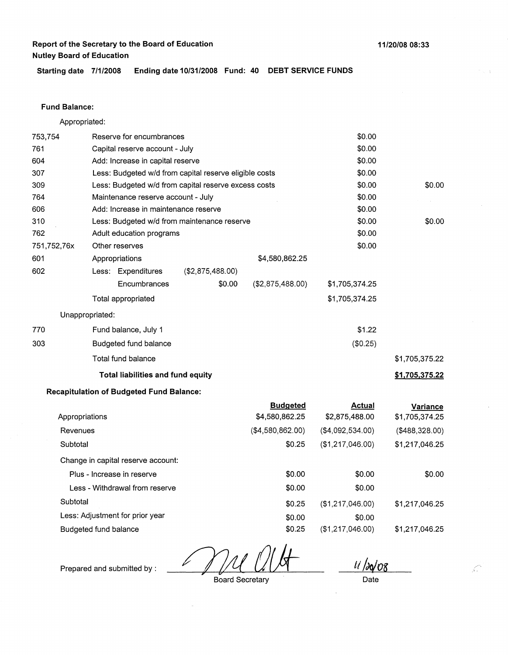**11/20/08 08:33** 

Starting date 7/1/2008 Ending date 10/31/2008 Fund: 40 DEBT SERVICE FUNDS

#### **Fund Balance:**

Appropriated: 753,754 Reserve for encumbrances Capital reserve account - July Add: Increase in capital reserve 761 604 307 309 764 606 310 Less: Budgeted w/d from capital reserve eligible costs Less: Budgeted w/d from capital reserve excess costs Maintenance reserve account - July Add: Increase in maintenance reserve 762 751,752,76x 601 Less: Budgeted w/d from maintenance reserve Adult education programs Other reserves Appropriations \$4,580,862.25 602 770 303 Less: Expenditures **Encumbrances** Total appropriated Unappropriated: Fund balance, July 1 Budgeted fund balance Total fund balance (\$2,875,488.00) \$0.00 (\$2,875,488.00) **Total liabilities and fund equity**  \$0.00 \$0.00 \$0.00 \$0.00 \$0.00 \$0.00 \$0.00 \$0.00 \$0.00 \$0.00 \$1,705,374.25 \$1,705,374.25 \$1.22 (\$0.25) \$0.00 \$0.00 \$1,705,375.22 **\$1,705,375.22** 

### **Recapitulation of Budgeted Fund Balance:**

|                                    | <b>Budgeted</b>  | <b>Actual</b>    | Variance       |
|------------------------------------|------------------|------------------|----------------|
| Appropriations                     | \$4,580,862.25   | \$2,875,488.00   | \$1,705,374.25 |
| Revenues                           | (\$4,580,862.00) | (\$4,092,534.00) | (\$488,328.00) |
| Subtotal                           | \$0.25           | (\$1,217,046.00) | \$1,217,046.25 |
| Change in capital reserve account: |                  |                  |                |
| Plus - Increase in reserve         | \$0.00           | \$0.00           | \$0.00         |
| Less - Withdrawal from reserve     | \$0.00           | \$0.00           |                |
| Subtotal                           | \$0.25           | (\$1,217,046.00) | \$1,217,046.25 |
| Less: Adjustment for prior year    | \$0.00           | \$0.00           |                |
| Budgeted fund balance              | \$0.25           | (\$1,217,046.00) | \$1,217,046.25 |
|                                    |                  |                  |                |

*ti /do/08* 

 $\curvearrowleft$ 

Prepared and submitted by :

Board Secretary

Date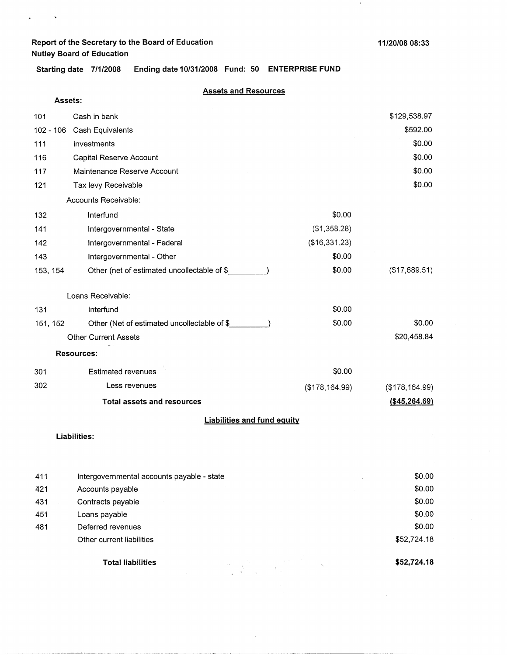$\ddot{\phantom{1}}$ 

¥

 $\,$   $\,$ 

**Starting date 7/1/2008 Ending date 10/31/2008 Fund: 50 ENTERPRISE FUND** 

### **Assets and Resources**

| Assets:  |                                             |                 |                 |
|----------|---------------------------------------------|-----------------|-----------------|
| 101      | Cash in bank                                |                 | \$129,538.97    |
|          | 102 - 106 Cash Equivalents                  |                 | \$592.00        |
| 111      | Investments                                 |                 | \$0.00          |
| 116      | Capital Reserve Account                     |                 | \$0.00          |
| 117      | Maintenance Reserve Account                 |                 | \$0.00          |
| 121      | Tax levy Receivable                         |                 | \$0.00          |
|          | Accounts Receivable:                        |                 |                 |
| 132      | Interfund                                   | \$0.00          |                 |
| 141      | Intergovernmental - State                   | (\$1,358.28)    |                 |
| 142      | Intergovernmental - Federal                 | (\$16,331.23)   |                 |
| 143      | Intergovernmental - Other                   | \$0.00          |                 |
| 153, 154 | Other (net of estimated uncollectable of \$ | \$0.00          | (\$17,689.51)   |
|          | Loans Receivable:                           |                 |                 |
| 131      | Interfund                                   | \$0.00          |                 |
| 151, 152 | Other (Net of estimated uncollectable of \$ | \$0.00          | \$0.00          |
|          | <b>Other Current Assets</b>                 |                 | \$20,458.84     |
|          | <b>Resources:</b>                           |                 |                 |
| 301      | <b>Estimated revenues</b>                   | \$0.00          |                 |
| 302      | Less revenues                               | (\$178, 164.99) | (\$178, 164.99) |
|          | <b>Total assets and resources</b>           |                 | (\$45,264.69)   |
|          | <b>Liabilities and fund equity</b>          |                 |                 |
|          | Liabilities:                                |                 |                 |
|          |                                             |                 |                 |
| 411      | Intergovernmental accounts payable - state  |                 | \$0.00          |
| 421      | Accounts payable                            |                 | \$0.00          |
| 431      | Contracts payable                           |                 | \$0.00          |
| 451      | Loans payable                               |                 | \$0.00          |
| 481      | Deferred revenues                           |                 | \$0.00          |

 $\label{eq:2.1} \frac{1}{\left(\frac{1}{\sqrt{2}}\right)^{2}}\sum_{\substack{\mathbf{q} \in \mathbb{Z}^2\\ \mathbf{q} \in \mathbb{Z}^2\\ \mathbf{q} \in \mathbb{R}^2}}\left|\frac{1}{\sqrt{2}}\right|_{\mathbb{R}^2}=\sqrt{2}\sum_{\substack{\mathbf{q} \in \mathbb{Z}^2\\ \mathbf{q} \in \mathbb{Z}^2\\ \mathbf{q} \in \mathbb{Z}^2}}\left|\frac{1}{\sqrt{2}}\right|_{\mathbb{R}^2}=\sqrt{2}\sum_{\substack{\mathbf{q} \in \math$ 

**Total liabilities** 

Other current liabilities

**\$52,724.18** 

\$52,724.18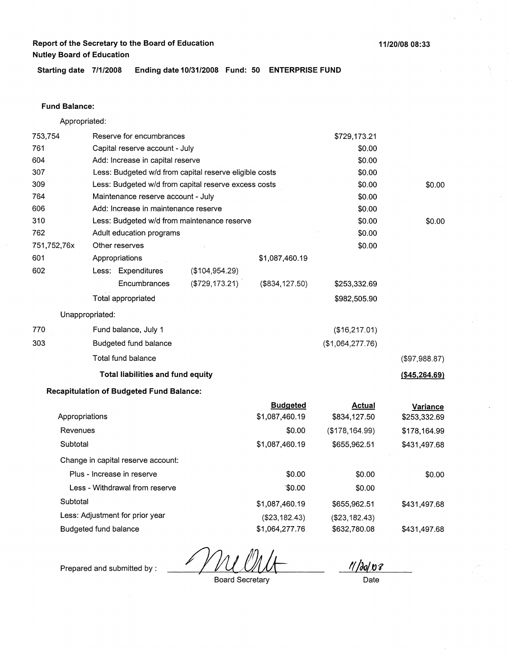**11/20/08 08:33** 

**Starting date 7/1/2008 Ending date 10/31/2008 Fund: 50 ENTERPRISE FUND** 

### **Fund Balance:**

Appropriated:

| 753,754     |                       | Reserve for encumbrances                               |                 |                     | \$729,173.21     |                  |
|-------------|-----------------------|--------------------------------------------------------|-----------------|---------------------|------------------|------------------|
| 761         |                       | Capital reserve account - July                         |                 |                     | \$0.00           |                  |
| 604         |                       | Add: Increase in capital reserve                       |                 |                     | \$0.00           |                  |
| 307         |                       | Less: Budgeted w/d from capital reserve eligible costs |                 |                     | \$0.00           |                  |
| 309         |                       | Less: Budgeted w/d from capital reserve excess costs   |                 |                     | \$0.00           | \$0.00           |
| 764         |                       | Maintenance reserve account - July                     |                 |                     | \$0.00           |                  |
| 606         |                       | Add: Increase in maintenance reserve                   |                 |                     | \$0.00           |                  |
| 310         |                       | Less: Budgeted w/d from maintenance reserve            |                 |                     | \$0.00           | \$0.00           |
| 762         |                       | Adult education programs                               |                 |                     | \$0.00           |                  |
| 751,752,76x |                       | Other reserves                                         |                 |                     | \$0.00           |                  |
| 601         |                       | Appropriations                                         |                 | \$1,087,460.19      |                  |                  |
| 602         |                       | Less: Expenditures                                     | (\$104,954.29)  |                     |                  |                  |
|             |                       | Encumbrances                                           | (\$729, 173.21) | (\$834, 127.50)     | \$253,332.69     |                  |
|             |                       | Total appropriated                                     |                 |                     | \$982,505.90     |                  |
|             | Unappropriated:       |                                                        |                 |                     |                  |                  |
| 770         |                       | Fund balance, July 1                                   |                 |                     | (\$16,217.01)    |                  |
| 303         |                       | Budgeted fund balance                                  |                 |                     | (\$1,064,277.76) |                  |
|             |                       | Total fund balance                                     |                 |                     |                  | (\$97,988.87)    |
|             |                       | Total liabilities and fund equity                      |                 |                     |                  | $($ \$45,264.69) |
|             |                       | <b>Recapitulation of Budgeted Fund Balance:</b>        |                 |                     |                  |                  |
|             |                       |                                                        |                 | <b>Budgeted</b>     | Actual           | Variance         |
|             | Appropriations        |                                                        |                 | \$1,087,460.19      | \$834,127.50     | \$253,332.69     |
| Revenues    |                       |                                                        |                 | \$0.00              | (\$178, 164.99)  | \$178,164.99     |
| Subtotal    |                       |                                                        |                 | \$1,087,460.19      | \$655,962.51     | \$431,497.68     |
|             |                       | Change in capital reserve account:                     |                 |                     |                  |                  |
|             |                       | Plus - Increase in reserve                             |                 | \$0.00              | \$0.00           | \$0.00           |
|             |                       | Less - Withdrawal from reserve                         |                 | <sup>-</sup> \$0.00 | \$0.00           |                  |
| Subtotal    |                       |                                                        |                 | \$1,087,460.19      | \$655,962.51     | \$431,497.68     |
|             |                       | Less: Adjustment for prior year                        |                 | (\$23,182.43)       | (\$23,182.43)    |                  |
|             | Budgeted fund balance |                                                        |                 | \$1,064,277.76      | \$632,780.08     | \$431,497.68     |
|             |                       |                                                        |                 |                     |                  |                  |

Prepared and submitted by :

Board Secretary

 $11/20/08$ Date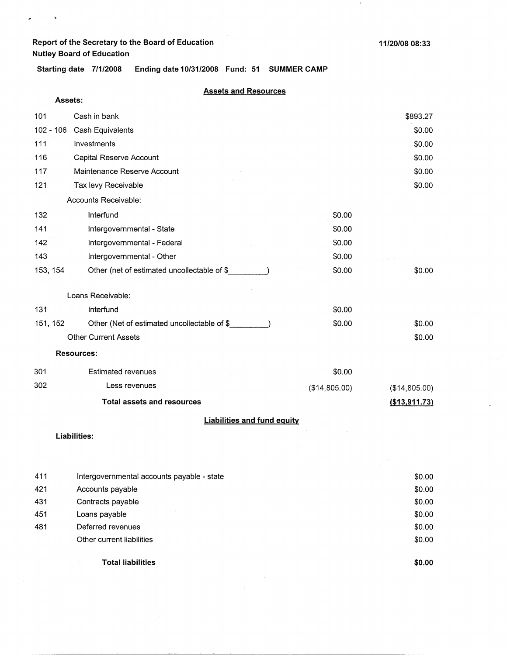$\ddot{\phantom{a}}$ 

**11/20/08 08:33** 

**Starting date 7/1/2008 Ending date 10/31/2008 Fund: 51 SUMMER CAMP** 

### **Assets and Resources**

|             | Assets:                                     |               |               |
|-------------|---------------------------------------------|---------------|---------------|
| 101         | Cash in bank                                |               | \$893.27      |
| $102 - 106$ | Cash Equivalents                            |               | \$0.00        |
| 111         | Investments                                 |               | \$0.00        |
| 116         | Capital Reserve Account                     |               | \$0.00        |
| 117         | Maintenance Reserve Account                 |               | \$0.00        |
| 121         | Tax levy Receivable                         |               | \$0.00        |
|             | Accounts Receivable:                        |               |               |
| 132         | Interfund                                   | \$0.00        |               |
| 141         | Intergovernmental - State                   | \$0.00        |               |
| 142         | Intergovernmental - Federal                 | \$0.00        |               |
| 143         | Intergovernmental - Other                   | \$0.00        |               |
| 153, 154    | Other (net of estimated uncollectable of \$ | \$0.00        | \$0.00        |
|             | Loans Receivable:                           |               |               |
| 131         | Interfund                                   | \$0.00        |               |
| 151, 152    | Other (Net of estimated uncollectable of \$ | \$0.00        | \$0.00        |
|             | <b>Other Current Assets</b>                 |               | \$0.00        |
|             | <b>Resources:</b>                           |               |               |
| 301         | <b>Estimated revenues</b>                   | \$0.00        |               |
| 302         | Less revenues                               | (\$14,805.00) | (\$14,805.00) |
|             | <b>Total assets and resources</b>           |               | (\$13,911.73) |
|             | <b>Liabilities and fund equity</b>          |               |               |
|             | <b>Liabilities:</b>                         |               |               |
|             |                                             |               |               |
| 411         | Intergovernmental accounts pavable - state  |               | \$0.00        |

| 421 | Accounts payable          | \$0.00 |
|-----|---------------------------|--------|
| 431 | Contracts payable         | \$0.00 |
| 451 | Loans payable             | \$0.00 |
| 481 | Deferred revenues         | \$0.00 |
|     | Other current liabilities | \$0.00 |
|     | <b>Total liabilities</b>  | \$0.00 |

 $\bar{\lambda}$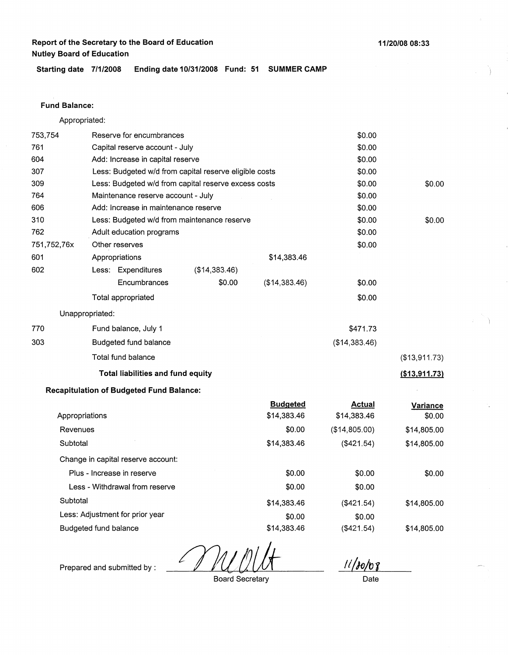**Starting date 7/1/2008 Ending date 10/31/2008 Fund: 51 SUMMER CAMP** 

### **Fund Balance:**

Appropriated:

| 753,754<br>Reserve for encumbrances   |                                                        |                                                 |                                                      | \$0.00                         |                              |                    |
|---------------------------------------|--------------------------------------------------------|-------------------------------------------------|------------------------------------------------------|--------------------------------|------------------------------|--------------------|
| 761<br>Capital reserve account - July |                                                        |                                                 |                                                      |                                | \$0.00                       |                    |
| 604                                   | Add: Increase in capital reserve                       |                                                 |                                                      |                                | \$0.00                       |                    |
| 307                                   | Less: Budgeted w/d from capital reserve eligible costs |                                                 |                                                      |                                | \$0.00                       |                    |
| 309                                   |                                                        |                                                 | Less: Budgeted w/d from capital reserve excess costs |                                | \$0.00                       | \$0.00             |
| 764                                   |                                                        | Maintenance reserve account - July              |                                                      |                                | \$0.00                       |                    |
| 606                                   |                                                        | Add: Increase in maintenance reserve            |                                                      |                                | \$0.00                       |                    |
| 310                                   |                                                        |                                                 | Less: Budgeted w/d from maintenance reserve          |                                | \$0.00                       | \$0.00             |
| 762                                   |                                                        | Adult education programs                        |                                                      |                                | \$0.00                       |                    |
| 751,752,76x                           |                                                        | Other reserves                                  |                                                      |                                | \$0.00                       |                    |
| 601                                   |                                                        | Appropriations                                  |                                                      | \$14,383.46                    |                              |                    |
| 602                                   |                                                        | Less: Expenditures                              | (\$14,383.46)                                        |                                |                              |                    |
|                                       |                                                        | Encumbrances                                    | \$0.00                                               | (\$14,383.46)                  | \$0.00                       |                    |
|                                       |                                                        | Total appropriated                              |                                                      |                                | \$0.00                       |                    |
|                                       | Unappropriated:                                        |                                                 |                                                      |                                |                              |                    |
| 770                                   |                                                        | Fund balance, July 1                            |                                                      |                                | \$471.73                     |                    |
| 303                                   | Budgeted fund balance                                  |                                                 |                                                      | (\$14,383.46)                  |                              |                    |
|                                       |                                                        | Total fund balance                              |                                                      |                                |                              | (\$13,911.73)      |
|                                       | Total liabilities and fund equity                      |                                                 |                                                      |                                |                              | (\$13,911.73)      |
|                                       |                                                        | <b>Recapitulation of Budgeted Fund Balance:</b> |                                                      |                                |                              |                    |
| Appropriations                        |                                                        |                                                 |                                                      | <b>Budgeted</b><br>\$14,383.46 | <b>Actual</b><br>\$14,383.46 | Variance<br>\$0.00 |
| Revenues<br>Subtotal                  |                                                        |                                                 |                                                      | \$0.00                         | (\$14,805.00)                | \$14,805.00        |
|                                       |                                                        |                                                 |                                                      | \$14,383.46                    | (\$421.54)                   | \$14,805.00        |
| Change in capital reserve account:    |                                                        |                                                 |                                                      |                                |                              |                    |
|                                       | Plus - Increase in reserve                             |                                                 |                                                      | \$0.00                         | \$0.00                       | \$0.00             |
|                                       |                                                        | Less - Withdrawal from reserve                  |                                                      | \$0.00                         | \$0.00                       |                    |
| Subtotal                              |                                                        |                                                 |                                                      | \$14,383.46                    | (\$421.54)                   | \$14,805.00        |
|                                       |                                                        | Less: Adjustment for prior year                 |                                                      | \$0.00                         | \$0.00                       |                    |
|                                       | Budgeted fund balance                                  |                                                 |                                                      | \$14,383.46                    | (\$421.54)                   | \$14,805.00        |

L

Prepared and submitted by :

Board Secretary

**<sup>11</sup>***/JoLr;r* 

Date

**11/20/08 08:33**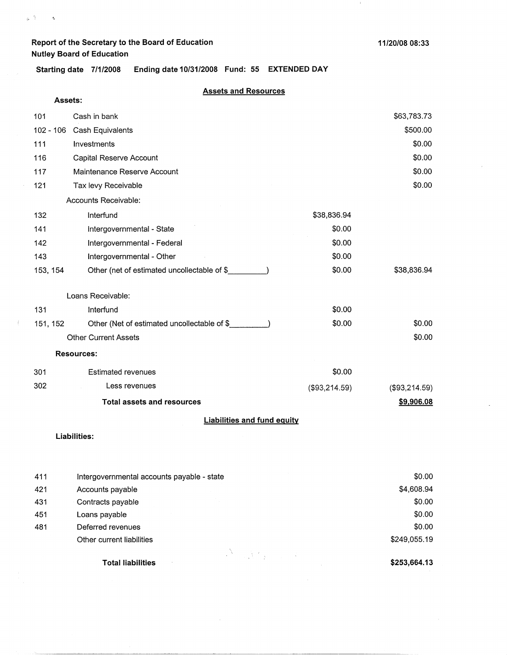**Assets:** 

 $\omega_{\rm p}$  . As in the  $\Delta$ 

**Starting date 7/1/2008 Ending date 10/31/2008 Fund: 55 EXTENDED DAY** 

### **Assets and Resources**

| 101                                | Cash in bank                                 |               | \$63,783.73   |  |
|------------------------------------|----------------------------------------------|---------------|---------------|--|
| $102 - 106$                        | Cash Equivalents                             |               | \$500.00      |  |
| 111                                | Investments                                  |               | \$0.00        |  |
| 116                                | Capital Reserve Account                      |               | \$0.00        |  |
| 117                                | Maintenance Reserve Account                  |               | \$0.00        |  |
| 121                                | Tax levy Receivable                          |               | \$0.00        |  |
|                                    | Accounts Receivable:                         |               |               |  |
| 132                                | Interfund                                    | \$38,836.94   |               |  |
| 141                                | Intergovernmental - State                    | \$0.00        |               |  |
| 142                                | Intergovernmental - Federal                  | \$0.00        |               |  |
| 143                                | Intergovernmental - Other                    | \$0.00        |               |  |
| 153, 154                           | Other (net of estimated uncollectable of \$_ | \$0.00        | \$38,836.94   |  |
|                                    | Loans Receivable:                            |               |               |  |
| 131                                | Interfund                                    | \$0.00        |               |  |
| 151, 152                           | Other (Net of estimated uncollectable of \$  | \$0.00        | \$0.00        |  |
|                                    | <b>Other Current Assets</b>                  |               | \$0.00        |  |
|                                    | <b>Resources:</b>                            |               |               |  |
| 301                                | <b>Estimated revenues</b>                    | \$0.00        |               |  |
| 302                                | Less revenues                                | (\$93,214.59) | (\$93,214.59) |  |
|                                    | <b>Total assets and resources</b>            |               | \$9,906.08    |  |
| <b>Liabilities and fund equity</b> |                                              |               |               |  |
|                                    | $1.3 - 1.331 + 1.2$                          |               |               |  |

#### **Liabilities:**

 $\mathcal{I}$ 

| 411 | Intergovernmental accounts payable - state | \$0.00       |
|-----|--------------------------------------------|--------------|
| 421 | Accounts payable                           | \$4,608.94   |
| 431 | Contracts payable                          | \$0.00       |
| 451 | Loans payable                              | \$0.00       |
| 481 | Deferred revenues                          | \$0.00       |
|     | Other current liabilities                  | \$249,055.19 |
|     |                                            |              |
|     | <b>Total liabilities</b>                   | \$253,664.13 |